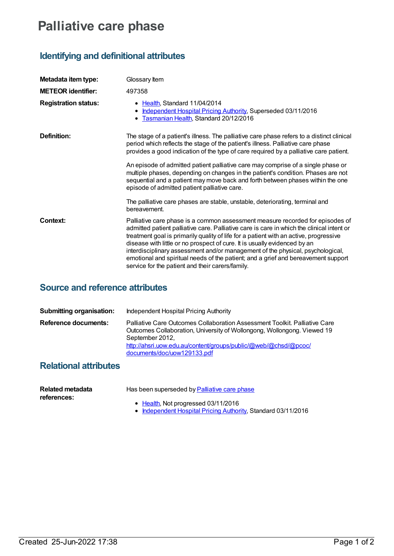## **Palliative care phase**

## **Identifying and definitional attributes**

| Metadata item type:         | Glossary Item                                                                                                                                                                                                                                                                                                                                                                                                                                                                                                                                                               |
|-----------------------------|-----------------------------------------------------------------------------------------------------------------------------------------------------------------------------------------------------------------------------------------------------------------------------------------------------------------------------------------------------------------------------------------------------------------------------------------------------------------------------------------------------------------------------------------------------------------------------|
| <b>METEOR identifier:</b>   | 497358                                                                                                                                                                                                                                                                                                                                                                                                                                                                                                                                                                      |
| <b>Registration status:</b> | • Health, Standard 11/04/2014<br>Independent Hospital Pricing Authority, Superseded 03/11/2016<br>• Tasmanian Health, Standard 20/12/2016                                                                                                                                                                                                                                                                                                                                                                                                                                   |
| Definition:                 | The stage of a patient's illness. The palliative care phase refers to a distinct clinical<br>period which reflects the stage of the patient's illness. Palliative care phase<br>provides a good indication of the type of care required by a palliative care patient.                                                                                                                                                                                                                                                                                                       |
|                             | An episode of admitted patient palliative care may comprise of a single phase or<br>multiple phases, depending on changes in the patient's condition. Phases are not<br>sequential and a patient may move back and forth between phases within the one<br>episode of admitted patient palliative care.                                                                                                                                                                                                                                                                      |
|                             | The palliative care phases are stable, unstable, deteriorating, terminal and<br>bereavement.                                                                                                                                                                                                                                                                                                                                                                                                                                                                                |
| Context:                    | Palliative care phase is a common assessment measure recorded for episodes of<br>admitted patient palliative care. Palliative care is care in which the clinical intent or<br>treatment goal is primarily quality of life for a patient with an active, progressive<br>disease with little or no prospect of cure. It is usually evidenced by an<br>interdisciplinary assessment and/or management of the physical, psychological,<br>emotional and spiritual needs of the patient; and a grief and bereavement support<br>service for the patient and their carers/family. |

## **Source and reference attributes**

| Submitting organisation:    | Independent Hospital Pricing Authority                                                                                                                                                                                                                                     |
|-----------------------------|----------------------------------------------------------------------------------------------------------------------------------------------------------------------------------------------------------------------------------------------------------------------------|
| <b>Reference documents:</b> | Palliative Care Outcomes Collaboration Assessment Toolkit. Palliative Care<br>Outcomes Collaboration, University of Wollongong, Wollongong. Viewed 19<br>September 2012,<br>http://ahsri.uow.edu.au/content/groups/public/@web/@chsd/@pcoc/<br>documents/doc/uow129133.pdf |

## **Relational attributes**

| Related metadata | Has been superseded by Palliative care phase |
|------------------|----------------------------------------------|
| references:      |                                              |
|                  | $\bullet$ Health, Not progressed 03/11/2016  |

[Independent](https://meteor.aihw.gov.au/RegistrationAuthority/3) Hospital Pricing Authority, Standard 03/11/2016